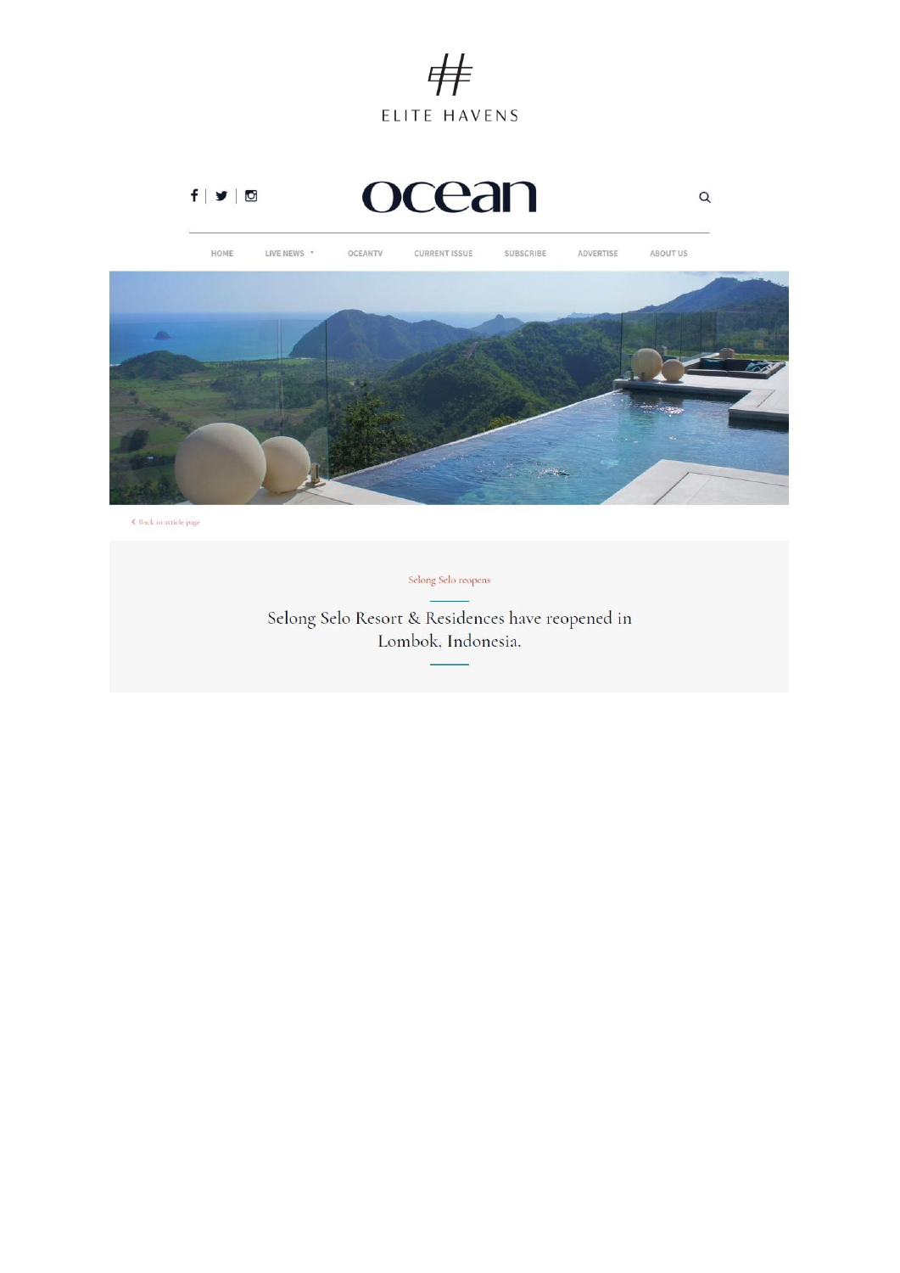





 $\hat{\mathbf{z}}$  Back to article page

Selong Selo reopens

Selong Selo Resort & Residences have reopened in Lombok, Indonesia.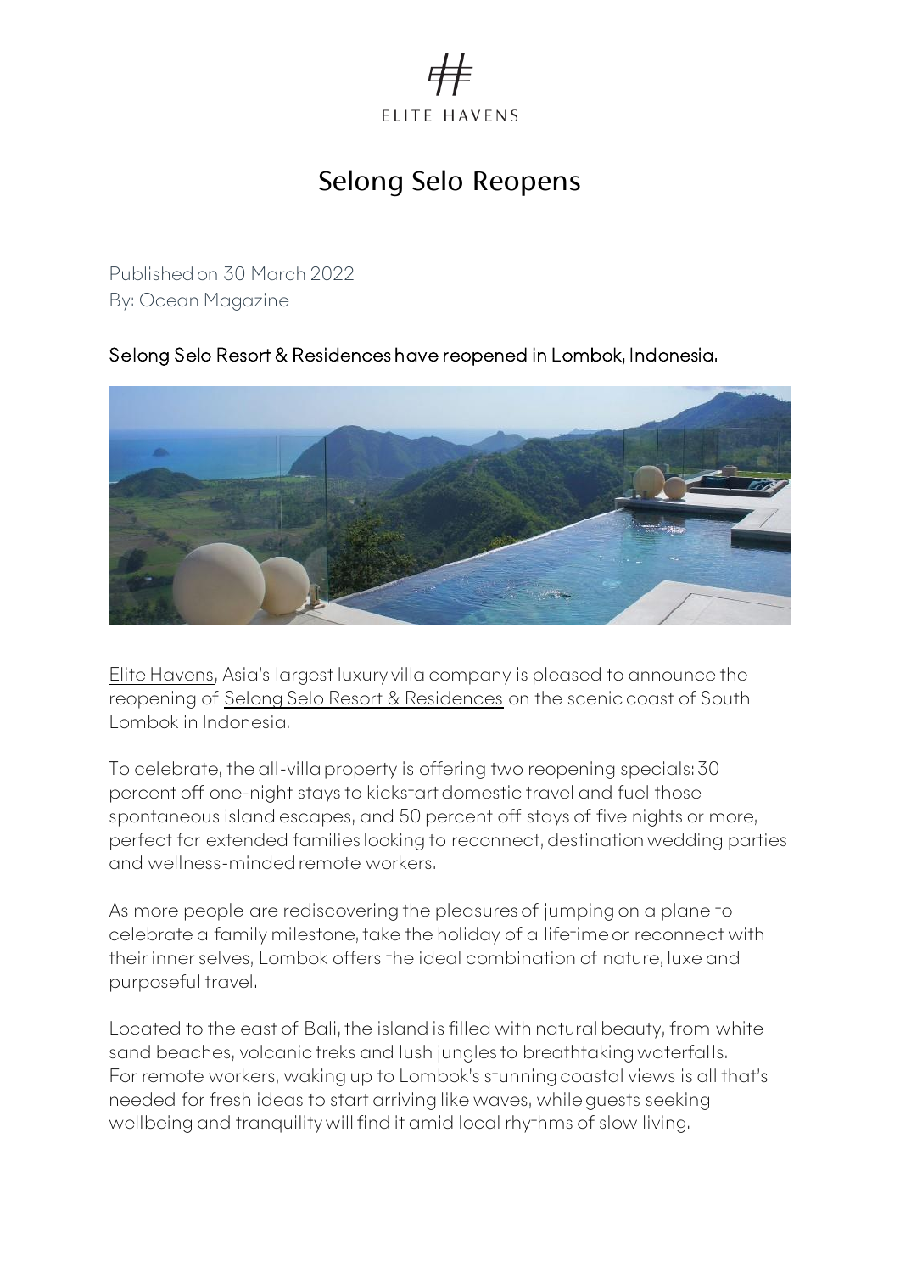

## Selong Selo Reopens

Published on 30 March 2022 By: Ocean Magazine

## Selong Selo Resort & Residences have reopened in Lombok, Indonesia.



[Elite Havens](http://www.elitehavens.com/), Asia's largest luxury villa company is pleased to announce the reopening of [Selong Selo Resort & Residences](https://www.selongselo.com/) on the scenic coast of South Lombok in Indonesia.

To celebrate, the all-villa property is offering two reopening specials: 30 percent off one-night stays to kickstart domestic travel and fuel those spontaneous island escapes, and 50 percent off stays of five nights or more, perfect for extended families looking to reconnect, destination wedding parties and wellness-minded remote workers.

As more people are rediscovering the pleasures of jumping on a plane to celebrate a family milestone, take the holiday of a lifetime or reconnect with their inner selves, Lombok offers the ideal combination of nature, luxe and purposeful travel.

Located to the east of Bali, the island is filled with natural beauty, from white sand beaches, volcanic treks and lush jungles to breathtaking waterfalls. For remote workers, waking up to Lombok's stunning coastal views is all that's needed for fresh ideas to start arriving like waves, while guests seeking wellbeing and tranquility will find it amid local rhythms of slow living.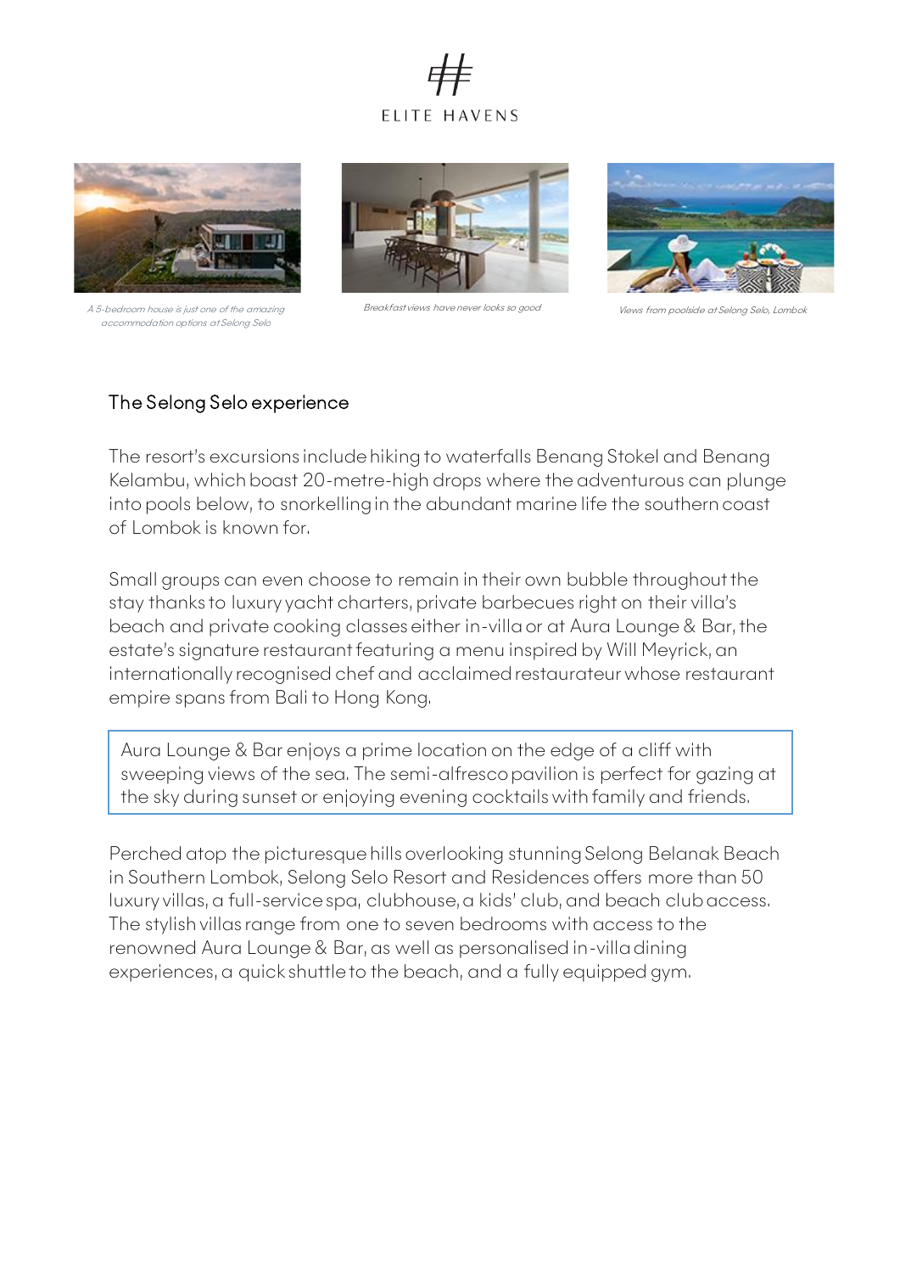



A 5-bedroom house is just one of the amazing accommodation options at Selong Selo



Breakfast views have never looks so good Views from poolside at Selong Selo, Lombok



## The Selong Selo experience

The resort's excursions include hiking to waterfalls Benang Stokel and Benang Kelambu, which boast 20-metre-high drops where the adventurous can plunge into pools below, to snorkelling in the abundant marine life the southern coast of Lombok is known for.

Small groups can even choose to remain in their own bubble throughout the stay thanks to luxury yacht charters, private barbecues right on their villa's beach and private cooking classes either in-villa or at Aura Lounge & Bar, the estate's signature restaurant featuring a menu inspired by Will Meyrick, an internationally recognised chef and acclaimed restaurateur whose restaurant empire spans from Bali to Hong Kong.

Aura Lounge & Bar enjoys a prime location on the edge of a cliff with sweeping views of the sea. The semi-alfresco pavilion is perfect for gazing at the sky during sunset or enjoying evening cocktails with family and friends.

Perched atop the picturesque hills overlooking stunning Selong Belanak Beach in Southern Lombok, Selong Selo Resort and Residences offers more than 50 luxury villas, a full-service spa, clubhouse, a kids' club, and beach club access. The stylish villas range from one to seven bedrooms with access to the renowned Aura Lounge & Bar, as well as personalised in-villa dining experiences, a quick shuttle to the beach, and a fully equipped gym.